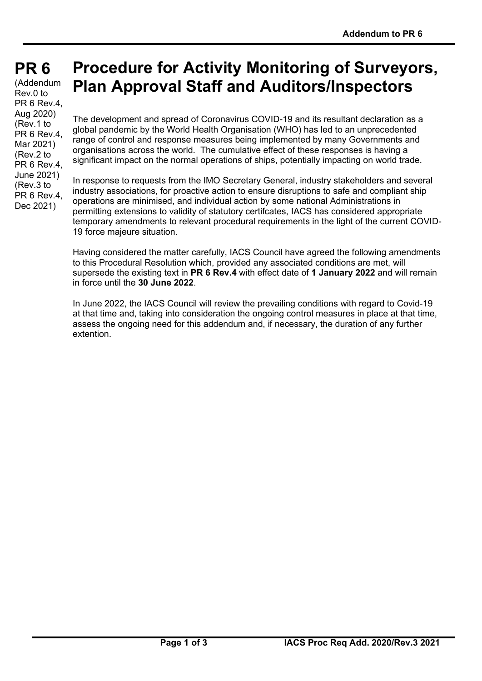# **PR 6 PR 6**

(Addendum Rev.0 to PR 6 Rev.4, Aug 2020) (Rev.1 to PR 6 Rev.4, Mar 2021) (Rev.2 to PR 6 Rev.4. June 2021) (Rev.3 to PR 6 Rev.4, Dec 2021)

## **Procedure for Activity Monitoring of Surveyors, Plan Approval Staff and Auditors/Inspectors**

The development and spread of Coronavirus COVID-19 and its resultant declaration as a global pandemic by the World Health Organisation (WHO) has led to an unprecedented range of control and response measures being implemented by many Governments and organisations across the world. The cumulative effect of these responses is having a significant impact on the normal operations of ships, potentially impacting on world trade.

In response to requests from the IMO Secretary General, industry stakeholders and several industry associations, for proactive action to ensure disruptions to safe and compliant ship operations are minimised, and individual action by some national Administrations in permitting extensions to validity of statutory certifcates, IACS has considered appropriate temporary amendments to relevant procedural requirements in the light of the current COVID-19 force majeure situation.

Having considered the matter carefully, IACS Council have agreed the following amendments to this Procedural Resolution which, provided any associated conditions are met, will supersede the existing text in **PR 6 Rev.4** with effect date of **1 January 2022** and will remain in force until the **30 June 2022**.

In June 2022, the IACS Council will review the prevailing conditions with regard to Covid-19 at that time and, taking into consideration the ongoing control measures in place at that time, assess the ongoing need for this addendum and, if necessary, the duration of any further extention.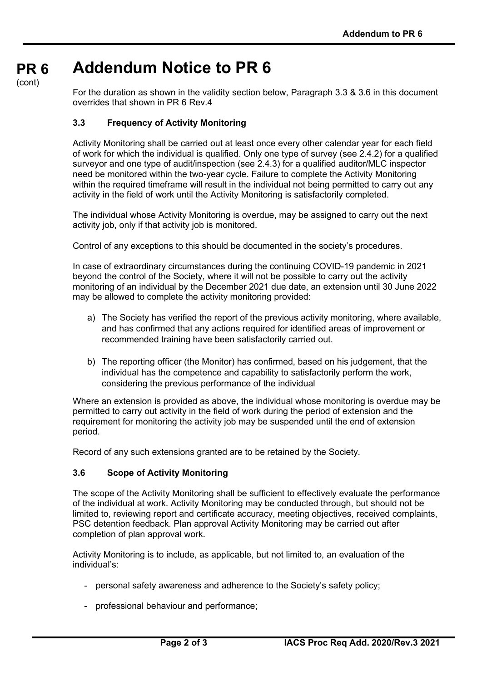#### **PR 6 Addendum Notice to PR 6**

(cont)

For the duration as shown in the validity section below, Paragraph 3.3 & 3.6 in this document overrides that shown in PR 6 Rev.4

### **3.3 Frequency of Activity Monitoring**

Activity Monitoring shall be carried out at least once every other calendar year for each field of work for which the individual is qualified. Only one type of survey (see 2.4.2) for a qualified surveyor and one type of audit/inspection (see 2.4.3) for a qualified auditor/MLC inspector need be monitored within the two-year cycle. Failure to complete the Activity Monitoring within the required timeframe will result in the individual not being permitted to carry out any activity in the field of work until the Activity Monitoring is satisfactorily completed.

The individual whose Activity Monitoring is overdue, may be assigned to carry out the next activity job, only if that activity job is monitored.

Control of any exceptions to this should be documented in the society's procedures.

In case of extraordinary circumstances during the continuing COVID-19 pandemic in 2021 beyond the control of the Society, where it will not be possible to carry out the activity monitoring of an individual by the December 2021 due date, an extension until 30 June 2022 may be allowed to complete the activity monitoring provided:

- a) The Society has verified the report of the previous activity monitoring, where available, and has confirmed that any actions required for identified areas of improvement or recommended training have been satisfactorily carried out.
- b) The reporting officer (the Monitor) has confirmed, based on his judgement, that the individual has the competence and capability to satisfactorily perform the work, considering the previous performance of the individual

Where an extension is provided as above, the individual whose monitoring is overdue may be permitted to carry out activity in the field of work during the period of extension and the requirement for monitoring the activity job may be suspended until the end of extension period.

Record of any such extensions granted are to be retained by the Society.

#### **3.6 Scope of Activity Monitoring**

The scope of the Activity Monitoring shall be sufficient to effectively evaluate the performance of the individual at work. Activity Monitoring may be conducted through, but should not be limited to, reviewing report and certificate accuracy, meeting objectives, received complaints, PSC detention feedback. Plan approval Activity Monitoring may be carried out after completion of plan approval work.

Activity Monitoring is to include, as applicable, but not limited to, an evaluation of the individual's:

- personal safety awareness and adherence to the Society's safety policy;
- professional behaviour and performance;